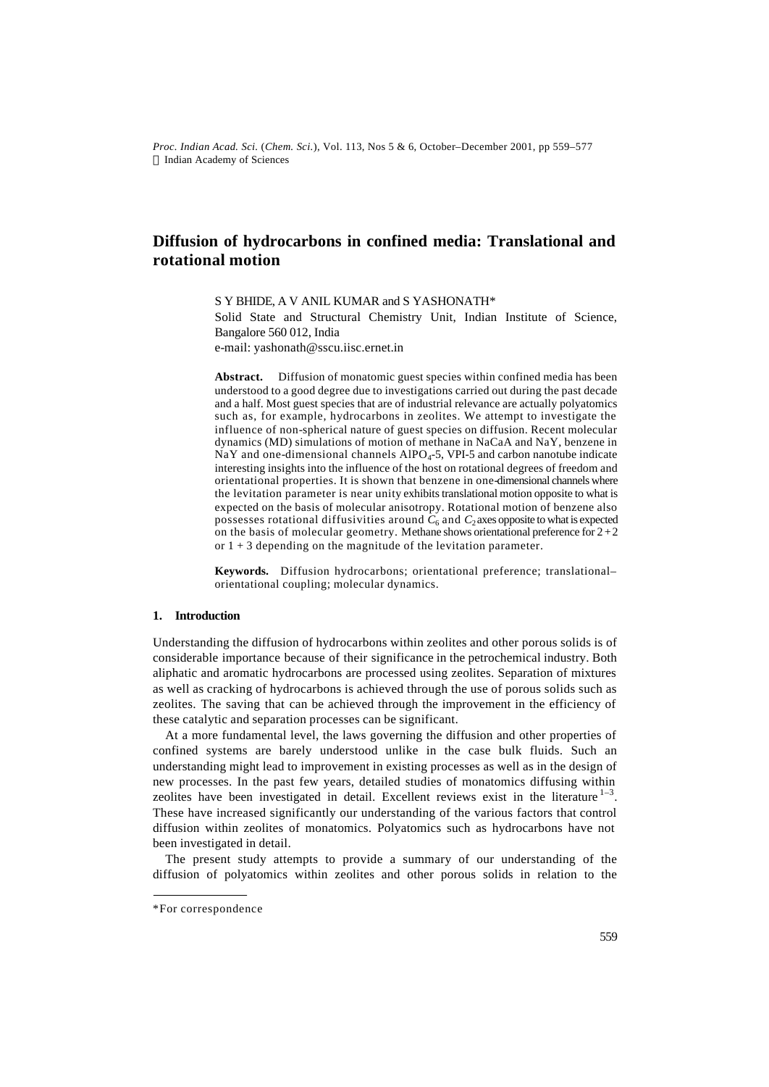*Proc. Indian Acad. Sci.* (*Chem. Sci.*), Vol. 113, Nos 5 & 6, October–December 2001, pp 559–577  $©$  Indian Academy of Sciences

# **Diffusion of hydrocarbons in confined media: Translational and rotational motion**

S Y BHIDE, A V ANIL KUMAR and S YASHONATH\* Solid State and Structural Chemistry Unit, Indian Institute of Science, Bangalore 560 012, India e-mail: yashonath@sscu.iisc.ernet.in

**Abstract.** Diffusion of monatomic guest species within confined media has been understood to a good degree due to investigations carried out during the past decade and a half. Most guest species that are of industrial relevance are actually polyatomics such as, for example, hydrocarbons in zeolites. We attempt to investigate the influence of non-spherical nature of guest species on diffusion. Recent molecular dynamics (MD) simulations of motion of methane in NaCaA and NaY, benzene in NaY and one-dimensional channels  $AIPO<sub>4</sub>$ -5, VPI-5 and carbon nanotube indicate interesting insights into the influence of the host on rotational degrees of freedom and orientational properties. It is shown that benzene in one-dimensional channels where the levitation parameter is near unity exhibits translational motion opposite to what is expected on the basis of molecular anisotropy. Rotational motion of benzene also possesses rotational diffusivities around  $C_6$  and  $C_2$  axes opposite to what is expected on the basis of molecular geometry. Methane shows orientational preference for  $2+2$ or  $1 + 3$  depending on the magnitude of the levitation parameter.

**Keywords.** Diffusion hydrocarbons; orientational preference; translational– orientational coupling; molecular dynamics.

# **1. Introduction**

Understanding the diffusion of hydrocarbons within zeolites and other porous solids is of considerable importance because of their significance in the petrochemical industry. Both aliphatic and aromatic hydrocarbons are processed using zeolites. Separation of mixtures as well as cracking of hydrocarbons is achieved through the use of porous solids such as zeolites. The saving that can be achieved through the improvement in the efficiency of these catalytic and separation processes can be significant.

At a more fundamental level, the laws governing the diffusion and other properties of confined systems are barely understood unlike in the case bulk fluids. Such an understanding might lead to improvement in existing processes as well as in the design of new processes. In the past few years, detailed studies of monatomics diffusing within zeolites have been investigated in detail. Excellent reviews exist in the literature  $1-3$ . These have increased significantly our understanding of the various factors that control diffusion within zeolites of monatomics. Polyatomics such as hydrocarbons have not been investigated in detail.

The present study attempts to provide a summary of our understanding of the diffusion of polyatomics within zeolites and other porous solids in relation to the

<sup>\*</sup>For correspondence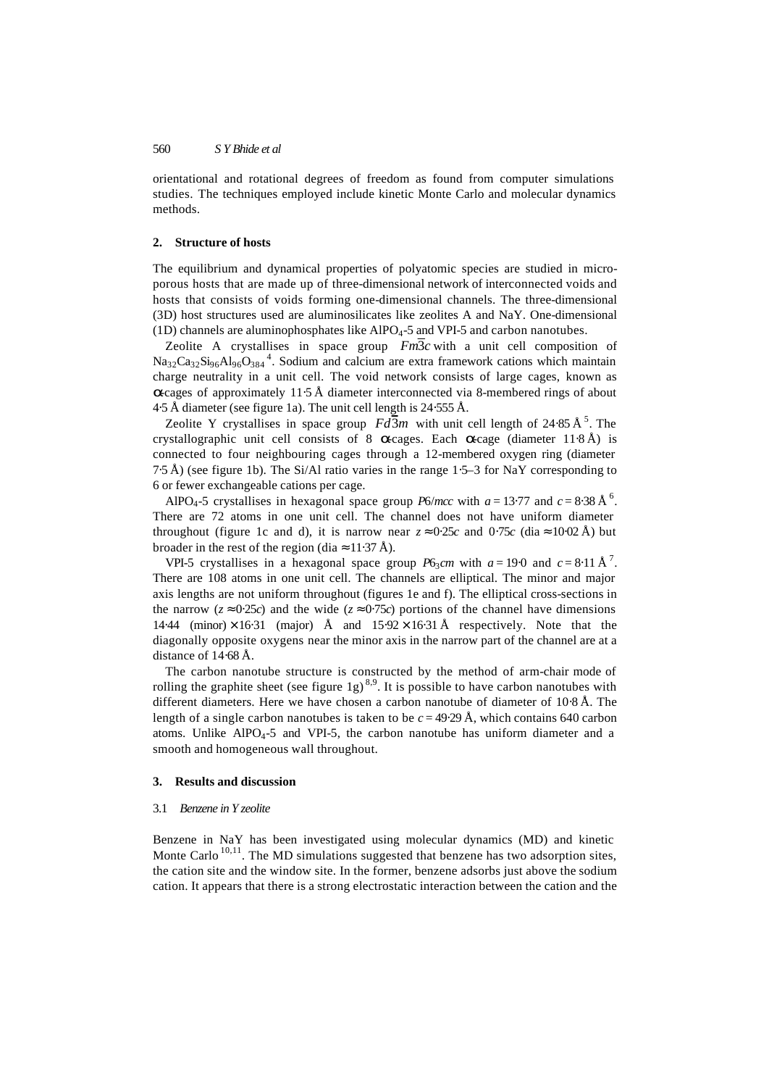orientational and rotational degrees of freedom as found from computer simulations studies. The techniques employed include kinetic Monte Carlo and molecular dynamics methods.

### **2. Structure of hosts**

The equilibrium and dynamical properties of polyatomic species are studied in microporous hosts that are made up of three-dimensional network of interconnected voids and hosts that consists of voids forming one-dimensional channels. The three-dimensional (3D) host structures used are aluminosilicates like zeolites A and NaY. One-dimensional (1D) channels are aluminophosphates like  $AIPO<sub>4</sub>$ -5 and VPI-5 and carbon nanotubes.

Zeolite A crystallises in space group  $Fm\overline{3}c$  with a unit cell composition of  $Na_{32}Ca_{32}Si_{96}Al_{96}O_{384}$ <sup>4</sup>. Sodium and calcium are extra framework cations which maintain charge neutrality in a unit cell. The void network consists of large cages, known as **a**-cages of approximately 11⋅5 Å diameter interconnected via 8-membered rings of about 4⋅5 Å diameter (see figure 1a). The unit cell length is 24⋅555 Å.

Zeolite Y crystallises in space group  $Fd\overline{3}m$  with unit cell length of 24⋅85 Å<sup>5</sup>. The crystallographic unit cell consists of 8 *a*-cages. Each *a*-cage (diameter 11⋅8 Å) is connected to four neighbouring cages through a 12-membered oxygen ring (diameter 7⋅5 Å) (see figure 1b). The Si/Al ratio varies in the range 1⋅5–3 for NaY corresponding to 6 or fewer exchangeable cations per cage.

AlPO<sub>4</sub>-5 crystallises in hexagonal space group *P6/mcc* with  $a = 13.77$  and  $c = 8.38 \text{ Å}^6$ . There are 72 atoms in one unit cell. The channel does not have uniform diameter throughout (figure 1c and d), it is narrow near  $z \approx 0.25c$  and  $0.75c$  (dia  $\approx 10.02 \text{ Å}$ ) but broader in the rest of the region (dia  $\approx 11.37 \text{ Å}$ ).

VPI-5 crystallises in a hexagonal space group  $P6_3cm$  with  $a = 19.0$  and  $c = 8.11 \text{ Å}^7$ . There are 108 atoms in one unit cell. The channels are elliptical. The minor and major axis lengths are not uniform throughout (figures 1e and f). The elliptical cross-sections in the narrow ( $z \approx 0.25c$ ) and the wide ( $z \approx 0.75c$ ) portions of the channel have dimensions 14⋅44 (minor)  $\times$  16⋅31 (major) Å and 15⋅92  $\times$  16⋅31 Å respectively. Note that the diagonally opposite oxygens near the minor axis in the narrow part of the channel are at a distance of 14⋅68 Å.

The carbon nanotube structure is constructed by the method of arm-chair mode of rolling the graphite sheet (see figure 1g)<sup>8,9</sup>. It is possible to have carbon nanotubes with different diameters. Here we have chosen a carbon nanotube of diameter of 10⋅8 Å. The length of a single carbon nanotubes is taken to be  $c = 49.29 \text{ Å}$ , which contains 640 carbon atoms. Unlike  $AIPO<sub>4</sub>$ -5 and VPI-5, the carbon nanotube has uniform diameter and a smooth and homogeneous wall throughout.

## **3. Results and discussion**

#### 3.1 *Benzene in Y zeolite*

Benzene in NaY has been investigated using molecular dynamics (MD) and kinetic Monte Carlo<sup>10,11</sup>. The MD simulations suggested that benzene has two adsorption sites, the cation site and the window site. In the former, benzene adsorbs just above the sodium cation. It appears that there is a strong electrostatic interaction between the cation and the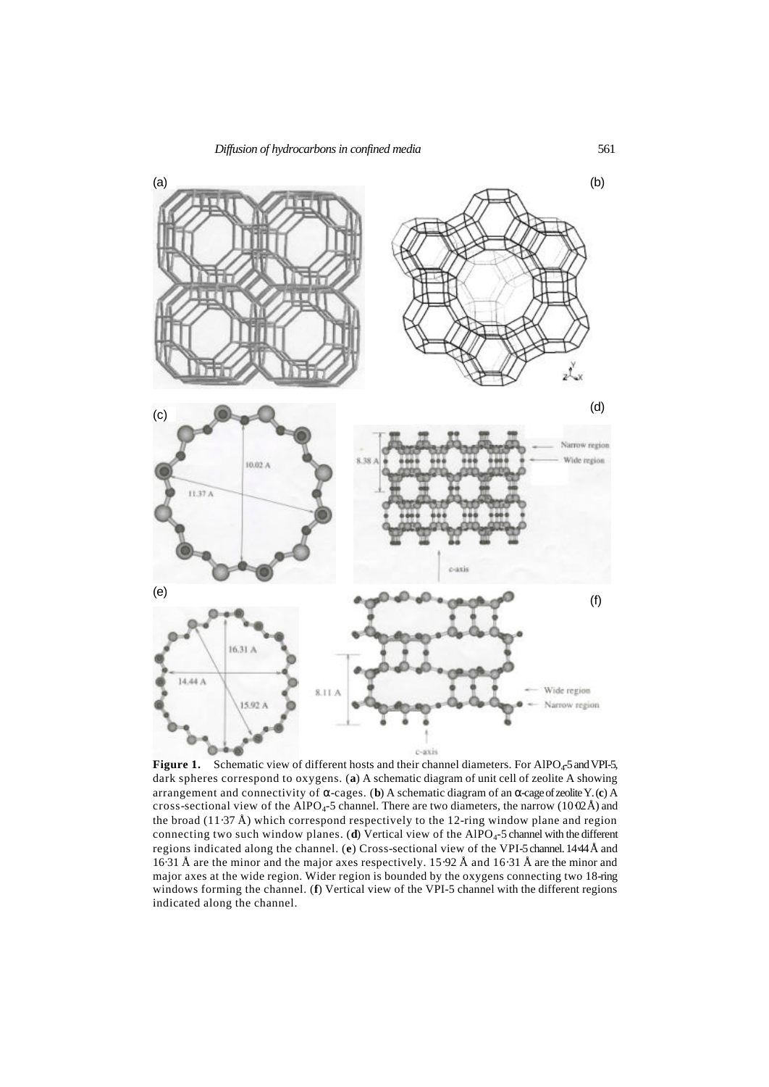

**Figure 1.** Schematic view of different hosts and their channel diameters. For AlPO<sub>4</sub>-5 and VPI-5, dark spheres correspond to oxygens. (**a**) A schematic diagram of unit cell of zeolite A showing arrangement and connectivity of *a*-cages. (**b**) A schematic diagram of an *a*-cage of zeolite Y. (**c**) A cross-sectional view of the AlPO<sub>4</sub>-5 channel. There are two diameters, the narrow (10⋅02Å) and the broad (11⋅37 Å) which correspond respectively to the 12-ring window plane and region connecting two such window planes. (d) Vertical view of the AlPO<sub>4</sub>-5 channel with the different regions indicated along the channel. (**e**) Cross-sectional view of the VPI-5 channel. 14⋅44Å and 16⋅31 Å are the minor and the major axes respectively. 15⋅92 Å and 16⋅31 Å are the minor and major axes at the wide region. Wider region is bounded by the oxygens connecting two 18-ring windows forming the channel. (**f**) Vertical view of the VPI-5 channel with the different regions indicated along the channel.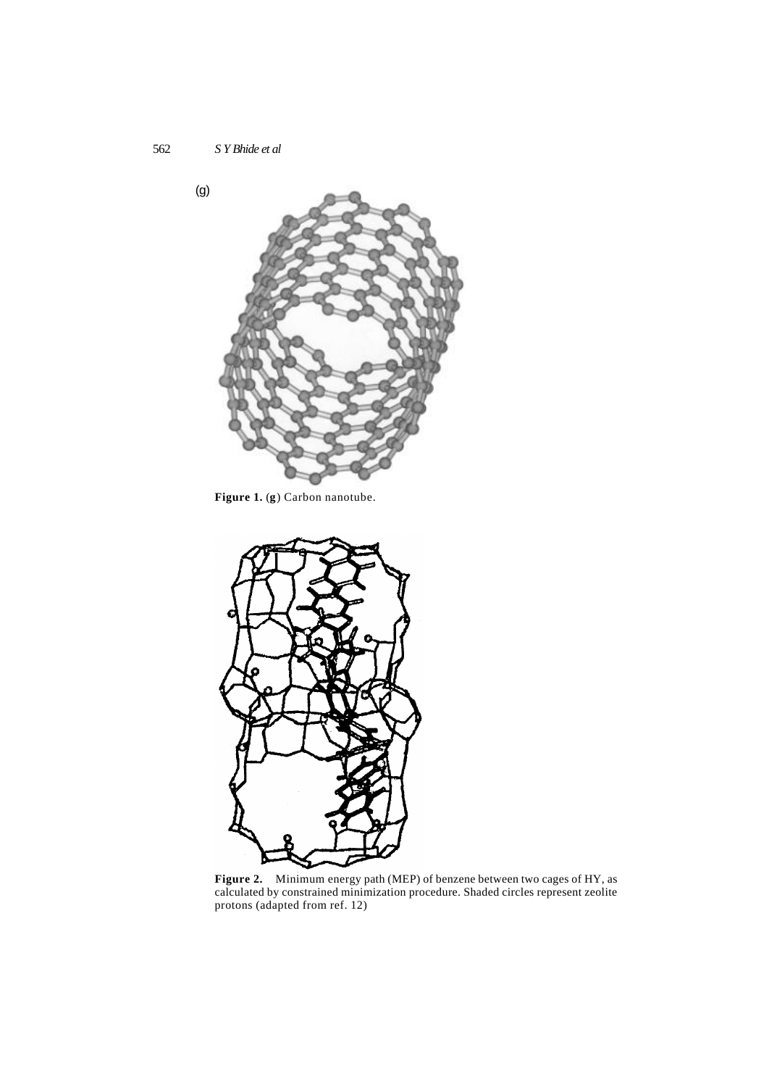

**Figure 1.** (**g**) Carbon nanotube.



**Figure 2.** Minimum energy path (MEP) of benzene between two cages of HY, as calculated by constrained minimization procedure. Shaded circles represent zeolite protons (adapted from ref. 12)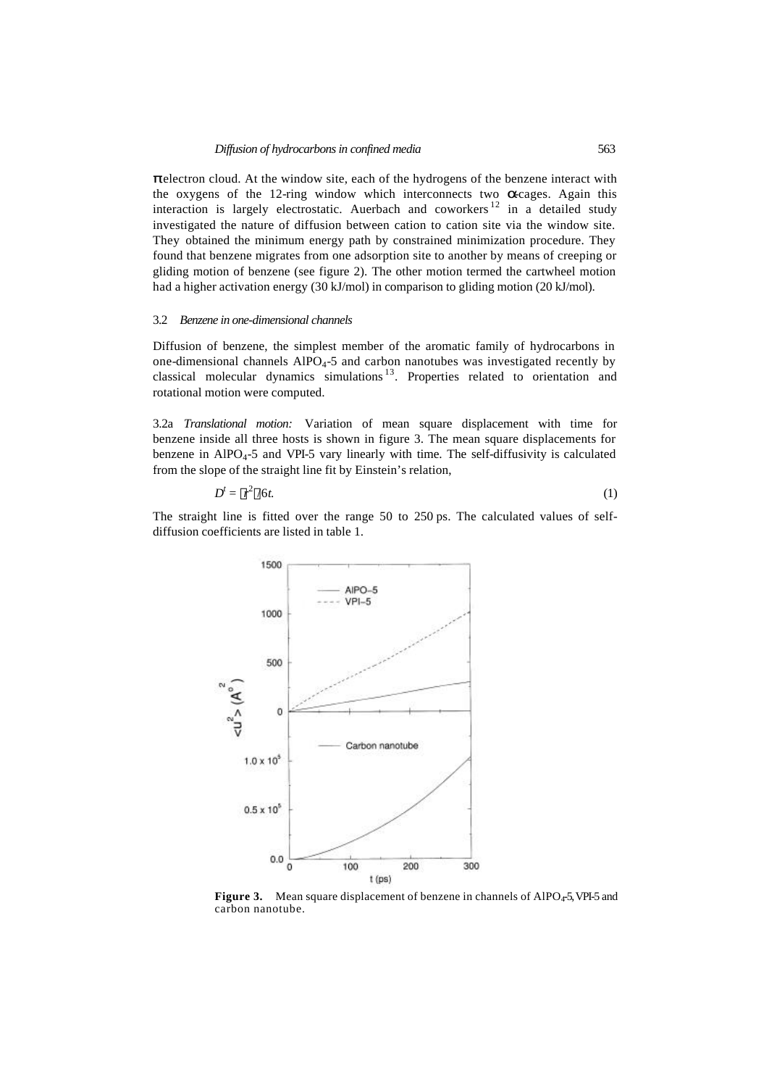**p** electron cloud. At the window site, each of the hydrogens of the benzene interact with the oxygens of the 12-ring window which interconnects two **a**cages. Again this interaction is largely electrostatic. Auerbach and coworkers  $12$  in a detailed study investigated the nature of diffusion between cation to cation site via the window site. They obtained the minimum energy path by constrained minimization procedure. They found that benzene migrates from one adsorption site to another by means of creeping or gliding motion of benzene (see figure 2). The other motion termed the cartwheel motion had a higher activation energy (30 kJ/mol) in comparison to gliding motion (20 kJ/mol).

## 3.2 *Benzene in one-dimensional channels*

Diffusion of benzene, the simplest member of the aromatic family of hydrocarbons in one-dimensional channels  $AIPO<sub>4</sub>$ -5 and carbon nanotubes was investigated recently by classical molecular dynamics simulations <sup>13</sup>. Properties related to orientation and rotational motion were computed.

3.2a *Translational motion:* Variation of mean square displacement with time for benzene inside all three hosts is shown in figure 3. The mean square displacements for benzene in  $AIPO<sub>4</sub>$ -5 and VPI-5 vary linearly with time. The self-diffusivity is calculated from the slope of the straight line fit by Einstein's relation,

$$
D^t = \langle r^2 \rangle / 6t. \tag{1}
$$

The straight line is fitted over the range 50 to 250 ps. The calculated values of selfdiffusion coefficients are listed in table 1.



**Figure 3.** Mean square displacement of benzene in channels of AlPO<sub>4</sub>-5, VPI-5 and carbon nanotube.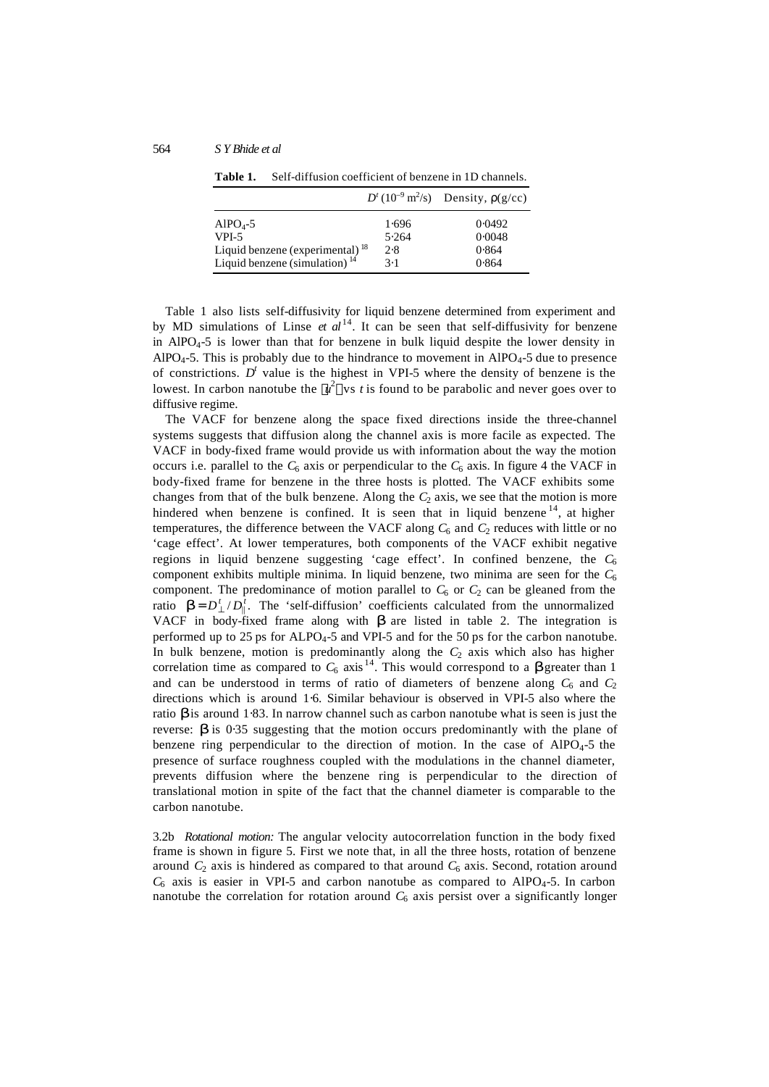|                                             |       | $D^{t}(10^{-9} \text{ m}^2/\text{s})$ Density, $r(g/cc)$ |
|---------------------------------------------|-------|----------------------------------------------------------|
| $AlPO4-5$                                   | 1.696 | 0.0492                                                   |
| VPI-5                                       | 5.264 | 0.0048                                                   |
| Liquid benzene (experimental) <sup>18</sup> | 2.8   | 0.864                                                    |
| Liquid benzene (simulation) $14$            | 3.1   | 0.864                                                    |

**Table 1.** Self-diffusion coefficient of benzene in 1D channels.

Table 1 also lists self-diffusivity for liquid benzene determined from experiment and by MD simulations of Linse *et al*<sup>14</sup>. It can be seen that self-diffusivity for benzene in AlPO<sub>4</sub>-5 is lower than that for benzene in bulk liquid despite the lower density in  $AlPO<sub>4</sub>-5$ . This is probably due to the hindrance to movement in  $AlPO<sub>4</sub>-5$  due to presence of constrictions.  $D<sup>t</sup>$  value is the highest in VPI-5 where the density of benzene is the lowest. In carbon nanotube the  $\langle u^2 \rangle$  vs *t* is found to be parabolic and never goes over to diffusive regime.

The VACF for benzene along the space fixed directions inside the three-channel systems suggests that diffusion along the channel axis is more facile as expected. The VACF in body-fixed frame would provide us with information about the way the motion occurs i.e. parallel to the  $C_6$  axis or perpendicular to the  $C_6$  axis. In figure 4 the VACF in body-fixed frame for benzene in the three hosts is plotted. The VACF exhibits some changes from that of the bulk benzene. Along the  $C_2$  axis, we see that the motion is more hindered when benzene is confined. It is seen that in liquid benzene  $14$ , at higher temperatures, the difference between the VACF along  $C_6$  and  $C_2$  reduces with little or no 'cage effect'. At lower temperatures, both components of the VACF exhibit negative regions in liquid benzene suggesting 'cage effect'. In confined benzene, the  $C_6$ component exhibits multiple minima. In liquid benzene, two minima are seen for the  $C_6$ component. The predominance of motion parallel to  $C_6$  or  $C_2$  can be gleaned from the ratio  $\mathbf{b} = D_{\perp}^t / D_{\parallel}^t$ . The 'self-diffusion' coefficients calculated from the unnormalized VACF in body-fixed frame along with *b* are listed in table 2. The integration is performed up to 25 ps for ALPO4-5 and VPI-5 and for the 50 ps for the carbon nanotube. In bulk benzene, motion is predominantly along the  $C_2$  axis which also has higher correlation time as compared to  $C_6$  axis<sup>14</sup>. This would correspond to a **b** greater than 1 and can be understood in terms of ratio of diameters of benzene along  $C_6$  and  $C_2$ directions which is around 1⋅6. Similar behaviour is observed in VPI-5 also where the ratio *b* is around 1⋅83. In narrow channel such as carbon nanotube what is seen is just the reverse:  $\boldsymbol{b}$  is 0.35 suggesting that the motion occurs predominantly with the plane of benzene ring perpendicular to the direction of motion. In the case of  $AIPO<sub>4</sub>$ -5 the presence of surface roughness coupled with the modulations in the channel diameter, prevents diffusion where the benzene ring is perpendicular to the direction of translational motion in spite of the fact that the channel diameter is comparable to the carbon nanotube.

3.2b *Rotational motion:* The angular velocity autocorrelation function in the body fixed frame is shown in figure 5. First we note that, in all the three hosts, rotation of benzene around  $C_2$  axis is hindered as compared to that around  $C_6$  axis. Second, rotation around  $C_6$  axis is easier in VPI-5 and carbon nanotube as compared to AlPO<sub>4</sub>-5. In carbon nanotube the correlation for rotation around  $C_6$  axis persist over a significantly longer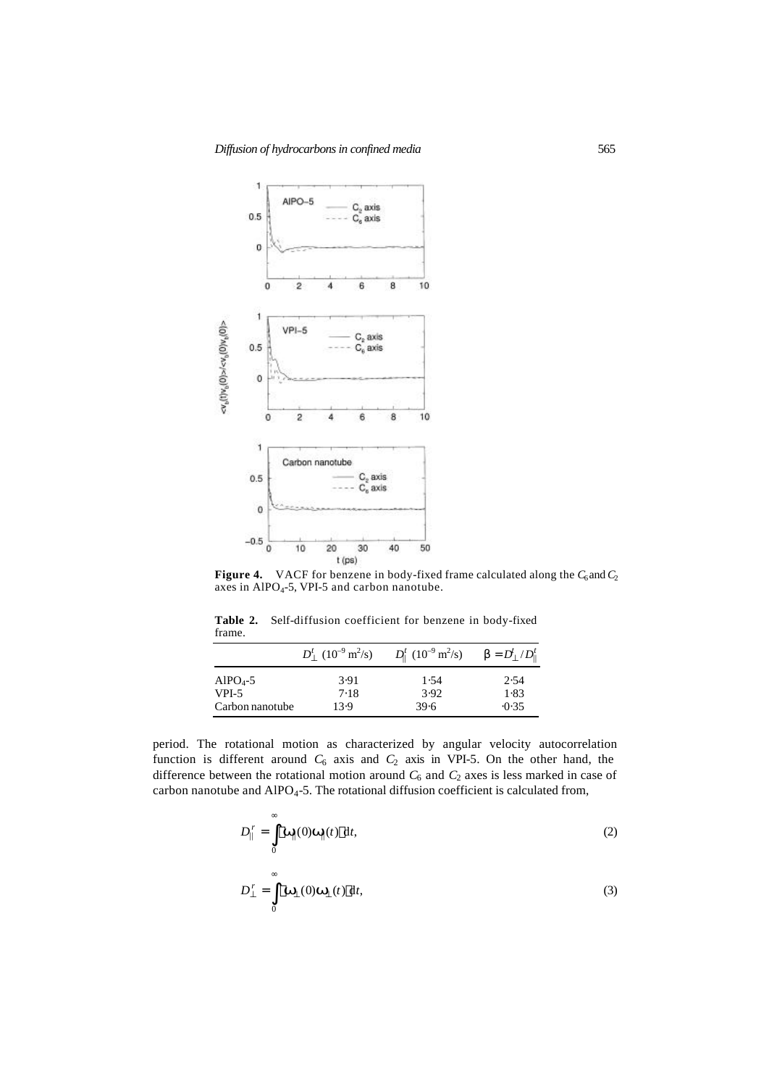

**Figure 4.** VACF for benzene in body-fixed frame calculated along the  $C_6$  and  $C_2$ axes in AlPO<sub>4</sub>-5, VPI-5 and carbon nanotube.

**Table 2.** Self-diffusion coefficient for benzene in body-fixed frame.

|                          | $D_1^t (10^{-9} \text{ m}^2/\text{s})$ | $D_{\parallel}^{t}$ (10 <sup>-9</sup> m <sup>2</sup> /s) | $\bm{b} = D_{\perp}^t/D_{\parallel}^t$ |
|--------------------------|----------------------------------------|----------------------------------------------------------|----------------------------------------|
| $AlPO4-5$                | 3.91                                   | 1.54                                                     | 2.54                                   |
| VPI-5<br>Carbon nanotube | 7.18<br>13.9                           | 3.92<br>39.6                                             | 1.83<br>$-0.35$                        |

l,

period. The rotational motion as characterized by angular velocity autocorrelation function is different around  $C_6$  axis and  $C_2$  axis in VPI-5. On the other hand, the difference between the rotational motion around  $C_6$  and  $C_2$  axes is less marked in case of carbon nanotube and AlPO<sub>4</sub>-5. The rotational diffusion coefficient is calculated from,

$$
D_{\parallel}^{\ r} = \int_{0}^{\infty} \langle \mathbf{W}_{\parallel}(0) \mathbf{W}_{\parallel}(t) \rangle dt, \tag{2}
$$

$$
D_{\perp}^{r} = \int_{0}^{\infty} \langle \mathbf{W}_{\perp}(0) \mathbf{W}_{\perp}(t) \rangle dt, \tag{3}
$$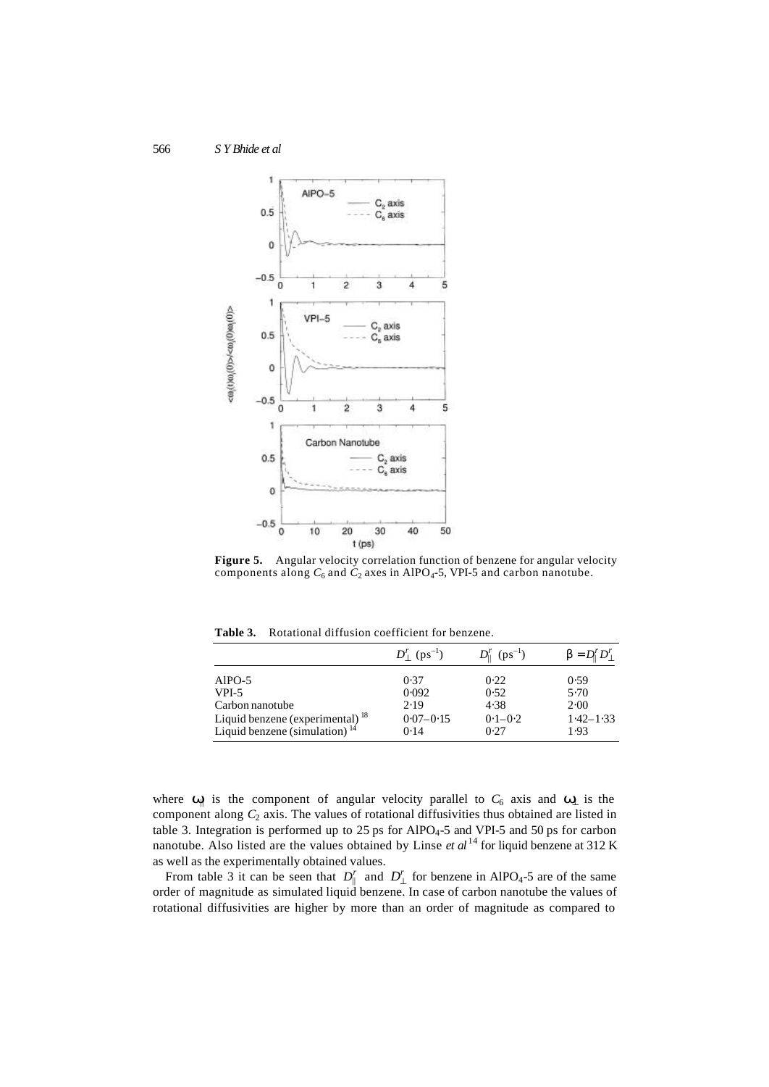

**Figure 5.** Angular velocity correlation function of benzene for angular velocity components along  $C_6$  and  $C_2$  axes in AlPO<sub>4</sub>-5, VPI-5 and carbon nanotube.

**Table 3.** Rotational diffusion coefficient for benzene.

|                                                                              | $D_1^r$ (ps <sup>-1</sup> ) | $D_{\parallel}^{r}$ (ps <sup>-1</sup> ) | ${\bf b} = D_1^r D_1^r$ |
|------------------------------------------------------------------------------|-----------------------------|-----------------------------------------|-------------------------|
| AlPO-5                                                                       | 0.37                        | 0.22                                    | 0.59                    |
| VPI-5                                                                        | 0.092                       | 0.52                                    | 5.70                    |
| Carbon nanotube                                                              | 2.19                        | 4.38                                    | 2.00                    |
|                                                                              | $0.07 - 0.15$               | $0.1 - 0.2$                             | $1.42 - 1.33$           |
| Liquid benzene (experimental) $^{18}$<br>Liquid benzene (simulation) $^{14}$ | 0.14                        | 0.27                                    | 1.93                    |

where **w**| is the component of angular velocity parallel to  $C_6$  axis and **w**<sub>⊥</sub> is the component along  $C_2$  axis. The values of rotational diffusivities thus obtained are listed in table 3. Integration is performed up to 25 ps for AlPO<sub>4</sub>-5 and VPI-5 and 50 ps for carbon nanotube. Also listed are the values obtained by Linse *et al*<sup>14</sup> for liquid benzene at 312 K as well as the experimentally obtained values.

From table 3 it can be seen that  $D_{\parallel}^r$  and  $D_{\perp}^r$  for benzene in AlPO<sub>4</sub>-5 are of the same order of magnitude as simulated liquid benzene. In case of carbon nanotube the values of rotational diffusivities are higher by more than an order of magnitude as compared to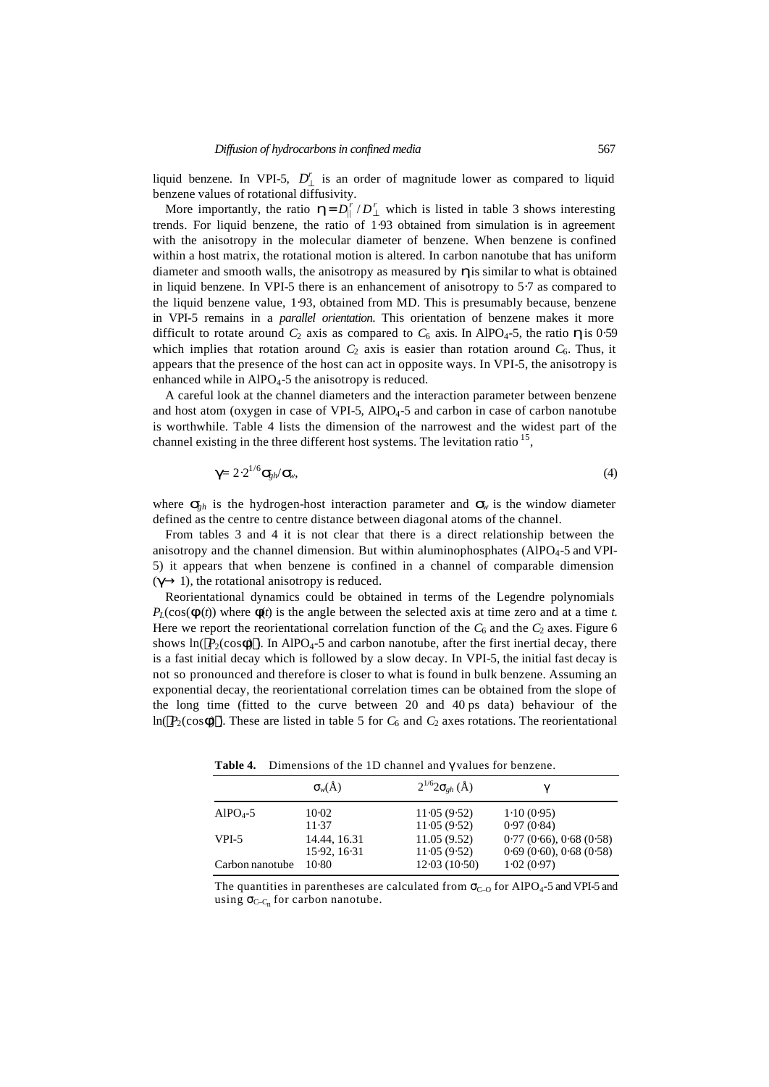liquid benzene. In VPI-5,  $D_1^r$  is an order of magnitude lower as compared to liquid benzene values of rotational diffusivity.

More importantly, the ratio  $\mathbf{h} = D_{\parallel}^r / D_{\perp}^r$  which is listed in table 3 shows interesting trends. For liquid benzene, the ratio of 1⋅93 obtained from simulation is in agreement with the anisotropy in the molecular diameter of benzene. When benzene is confined within a host matrix, the rotational motion is altered. In carbon nanotube that has uniform diameter and smooth walls, the anisotropy as measured by  $\boldsymbol{h}$  is similar to what is obtained in liquid benzene. In VPI-5 there is an enhancement of anisotropy to 5⋅7 as compared to the liquid benzene value, 1⋅93, obtained from MD. This is presumably because, benzene in VPI-5 remains in a *parallel orientation*. This orientation of benzene makes it more difficult to rotate around  $C_2$  axis as compared to  $C_6$  axis. In AlPO<sub>4</sub>-5, the ratio **h** is 0⋅59 which implies that rotation around  $C_2$  axis is easier than rotation around  $C_6$ . Thus, it appears that the presence of the host can act in opposite ways. In VPI-5, the anisotropy is enhanced while in  $AIPO<sub>4</sub>$ -5 the anisotropy is reduced.

A careful look at the channel diameters and the interaction parameter between benzene and host atom (oxygen in case of VPI-5,  $AIPO<sub>4</sub>$ -5 and carbon in case of carbon nanotube is worthwhile. Table 4 lists the dimension of the narrowest and the widest part of the channel existing in the three different host systems. The levitation ratio <sup>15</sup>,

$$
\mathbf{g} = 2 \cdot 2^{1/6} \mathbf{S}_{\mathrm{ph}} / \mathbf{S}_{\mathrm{w}},\tag{4}
$$

where  $S_{gh}$  is the hydrogen-host interaction parameter and  $S_w$  is the window diameter defined as the centre to centre distance between diagonal atoms of the channel.

From tables 3 and 4 it is not clear that there is a direct relationship between the anisotropy and the channel dimension. But within aluminophosphates ( $AIPO<sub>4</sub>$ -5 and VPI-5) it appears that when benzene is confined in a channel of comparable dimension  $(q \rightarrow 1)$ , the rotational anisotropy is reduced.

Reorientational dynamics could be obtained in terms of the Legendre polynomials  $P_L(\cos(\mathbf{f}(t))$  where  $\mathbf{f}(t)$  is the angle between the selected axis at time zero and at a time *t*. Here we report the reorientational correlation function of the  $C_6$  and the  $C_2$  axes. Figure 6 shows  $\ln(\langle P_2(\cos f \hat{\theta})\rangle)$ . In AlPO<sub>4</sub>-5 and carbon nanotube, after the first inertial decay, there is a fast initial decay which is followed by a slow decay. In VPI-5, the initial fast decay is not so pronounced and therefore is closer to what is found in bulk benzene. Assuming an exponential decay, the reorientational correlation times can be obtained from the slope of the long time (fitted to the curve between 20 and 40 ps data) behaviour of the ln( $\langle P_2(\cos f) \rangle$ ). These are listed in table 5 for  $C_6$  and  $C_2$  axes rotations. The reorientational

**Table 4.** Dimensions of the 1D channel and *g* values for benzene.

|                 | $\mathbf{S}_w(\check{\mathbf{A}})$ | $2^{1/6}2s_{eh}$ (Å) | g                      |
|-----------------|------------------------------------|----------------------|------------------------|
| $AlPO4-5$       | $10-02$                            | 11.05(9.52)          | 1.10(0.95)             |
|                 | 11.37                              | 11.05(9.52)          | 0.97(0.84)             |
| $VPI-5$         | 14.44, 16.31                       | 11.05(9.52)          | 0.77(0.66), 0.68(0.58) |
|                 | 15.92, 16.31                       | 11.05(9.52)          | 0.69(0.60), 0.68(0.58) |
| Carbon nanotube | $10-80$                            | 12.03(10.50)         | 1.02(0.97)             |

The quantities in parentheses are calculated from  $s_{C-0}$  for AlPO<sub>4</sub>-5 and VPI-5 and using  $S_{C-C_n}$  for carbon nanotube.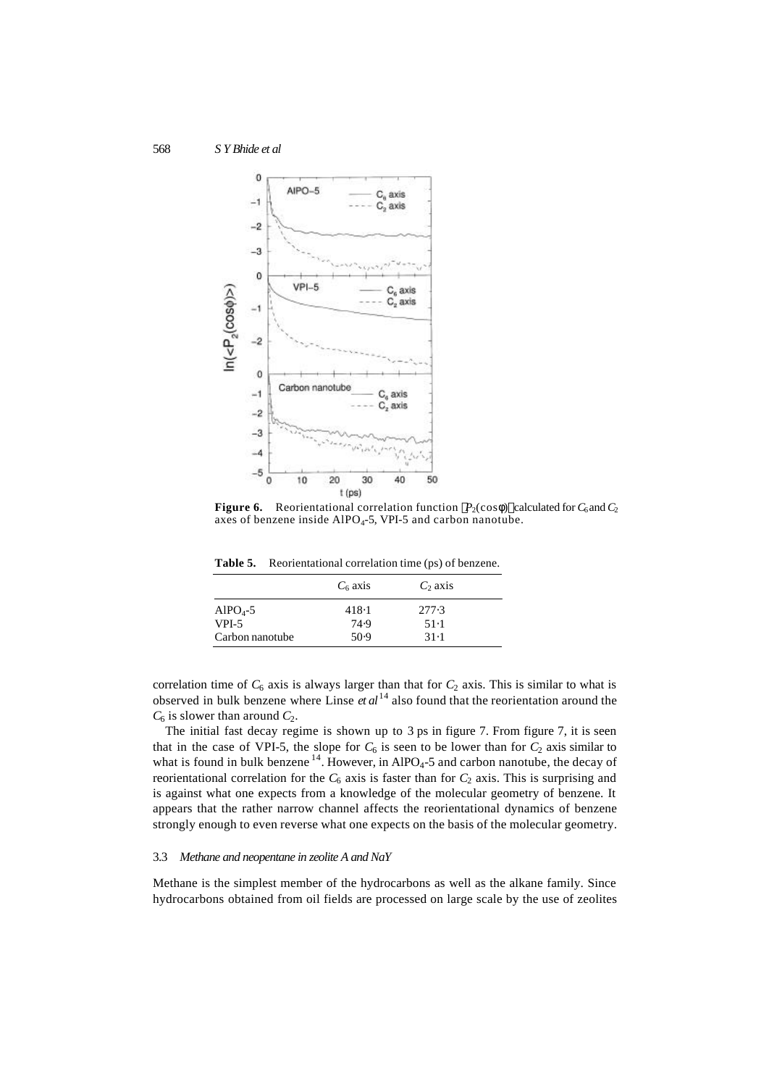

**Figure 6.** Reorientational correlation function  $\langle P_2(\cos f) \rangle$  calculated for  $C_6$  and  $C_2$ axes of benzene inside  $A_1PO_4-5$ , VPI-5 and carbon nanotube.

**Table 5.** Reorientational correlation time (ps) of benzene.

|                      | $C_6$ axis | $C_2$ axis |  |
|----------------------|------------|------------|--|
| AlPO <sub>4</sub> -5 | 418.1      | 277.3      |  |
| VPI-5                | 74.9       | $51-1$     |  |
| Carbon nanotube      | 50.9       | 31.1       |  |

correlation time of  $C_6$  axis is always larger than that for  $C_2$  axis. This is similar to what is observed in bulk benzene where Linse *et al* 14 also found that the reorientation around the  $C_6$  is slower than around  $C_2$ .

The initial fast decay regime is shown up to 3 ps in figure 7. From figure 7, it is seen that in the case of VPI-5, the slope for  $C_6$  is seen to be lower than for  $C_2$  axis similar to what is found in bulk benzene<sup>14</sup>. However, in AlPO<sub>4</sub>-5 and carbon nanotube, the decay of reorientational correlation for the  $C_6$  axis is faster than for  $C_2$  axis. This is surprising and is against what one expects from a knowledge of the molecular geometry of benzene. It appears that the rather narrow channel affects the reorientational dynamics of benzene strongly enough to even reverse what one expects on the basis of the molecular geometry.

#### 3.3 *Methane and neopentane in zeolite A and NaY*

Methane is the simplest member of the hydrocarbons as well as the alkane family. Since hydrocarbons obtained from oil fields are processed on large scale by the use of zeolites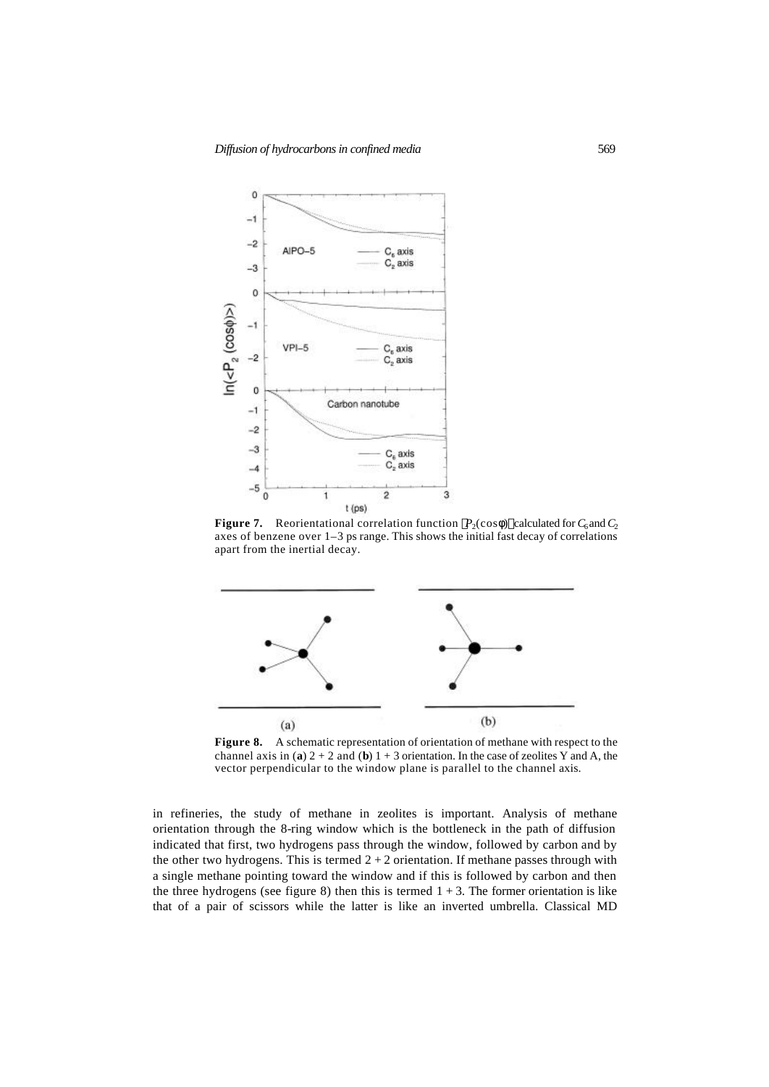

**Figure 7.** Reorientational correlation function  $\langle P_2(\cos f) \rangle$  calculated for  $C_6$  and  $C_2$ axes of benzene over 1–3 ps range. This shows the initial fast decay of correlations apart from the inertial decay.



**Figure 8.** A schematic representation of orientation of methane with respect to the channel axis in (**a**)  $2 + 2$  and (**b**)  $1 + 3$  orientation. In the case of zeolites Y and A, the vector perpendicular to the window plane is parallel to the channel axis.

in refineries, the study of methane in zeolites is important. Analysis of methane orientation through the 8-ring window which is the bottleneck in the path of diffusion indicated that first, two hydrogens pass through the window, followed by carbon and by the other two hydrogens. This is termed  $2 + 2$  orientation. If methane passes through with a single methane pointing toward the window and if this is followed by carbon and then the three hydrogens (see figure 8) then this is termed  $1 + 3$ . The former orientation is like that of a pair of scissors while the latter is like an inverted umbrella. Classical MD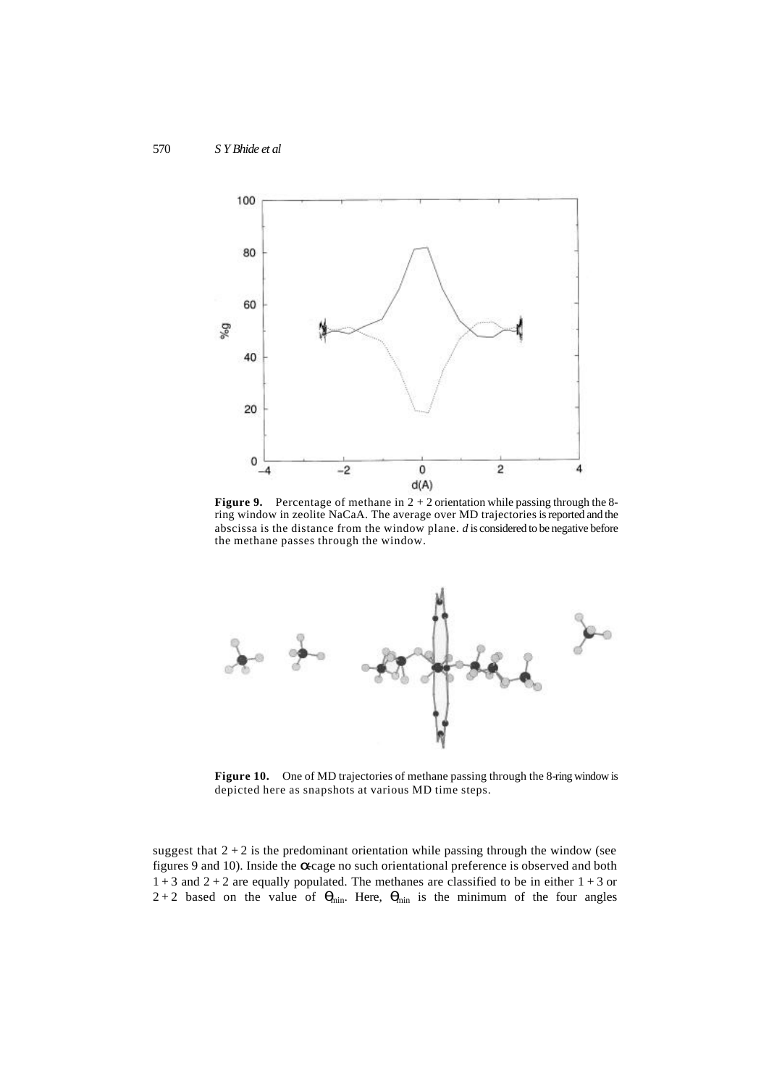

**Figure 9.** Percentage of methane in  $2 + 2$  orientation while passing through the 8ring window in zeolite NaCaA. The average over MD trajectories is reported and the abscissa is the distance from the window plane. *d* is considered to be negative before the methane passes through the window.



Figure 10. One of MD trajectories of methane passing through the 8-ring window is depicted here as snapshots at various MD time steps.

suggest that  $2 + 2$  is the predominant orientation while passing through the window (see figures 9 and 10). Inside the **a**-cage no such orientational preference is observed and both  $1 + 3$  and  $2 + 2$  are equally populated. The methanes are classified to be in either  $1 + 3$  or  $2+2$  based on the value of  $q<sub>min</sub>$ . Here,  $q<sub>min</sub>$  is the minimum of the four angles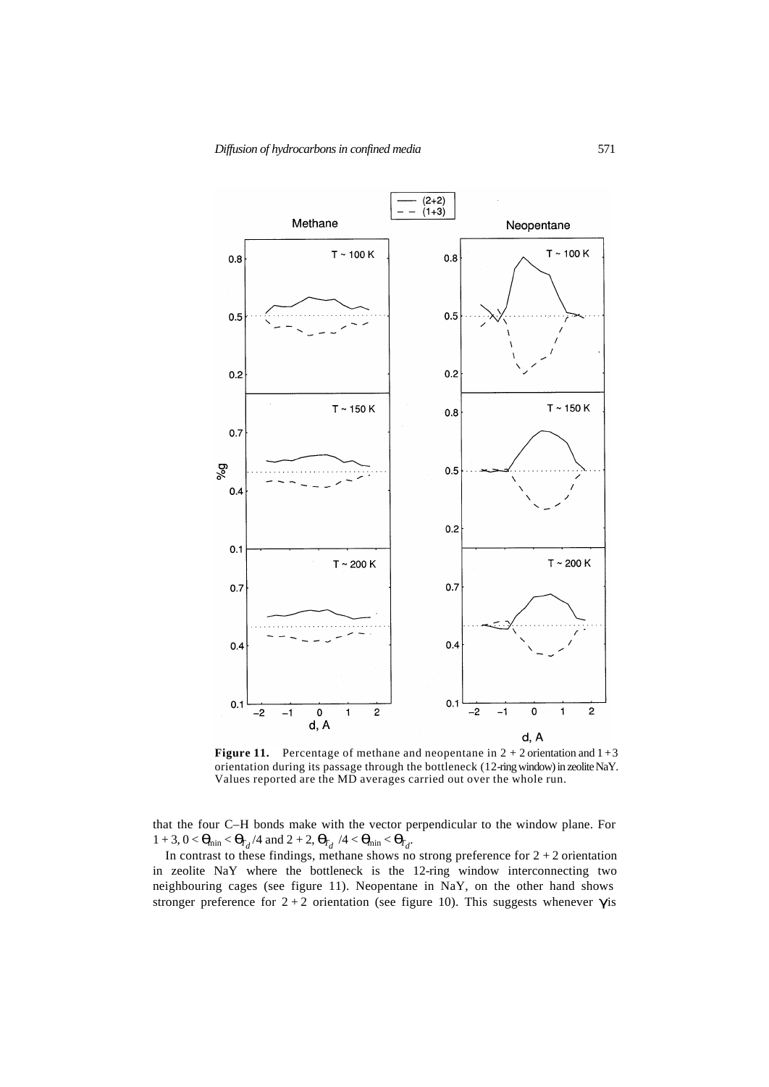

**Figure 11.** Percentage of methane and neopentane in  $2 + 2$  orientation and  $1 + 3$ orientation during its passage through the bottleneck (12-ring window) in zeolite NaY. Values reported are the MD averages carried out over the whole run.

that the four C–H bonds make with the vector perpendicular to the window plane. For  $1 + 3$ ,  $0 < \mathbf{q}_{\text{min}} < \mathbf{q}_{\text{T}_{d}}/4$  and  $2 + 2$ ,  $\mathbf{q}_{\text{T}_{d}}/4 < \mathbf{q}_{\text{min}} < \mathbf{q}_{\text{T}_{d}}$ .

In contrast to these findings, methane shows no strong preference for  $2 + 2$  orientation in zeolite NaY where the bottleneck is the 12-ring window interconnecting two neighbouring cages (see figure 11). Neopentane in NaY, on the other hand shows stronger preference for  $2+2$  orientation (see figure 10). This suggests whenever **g** is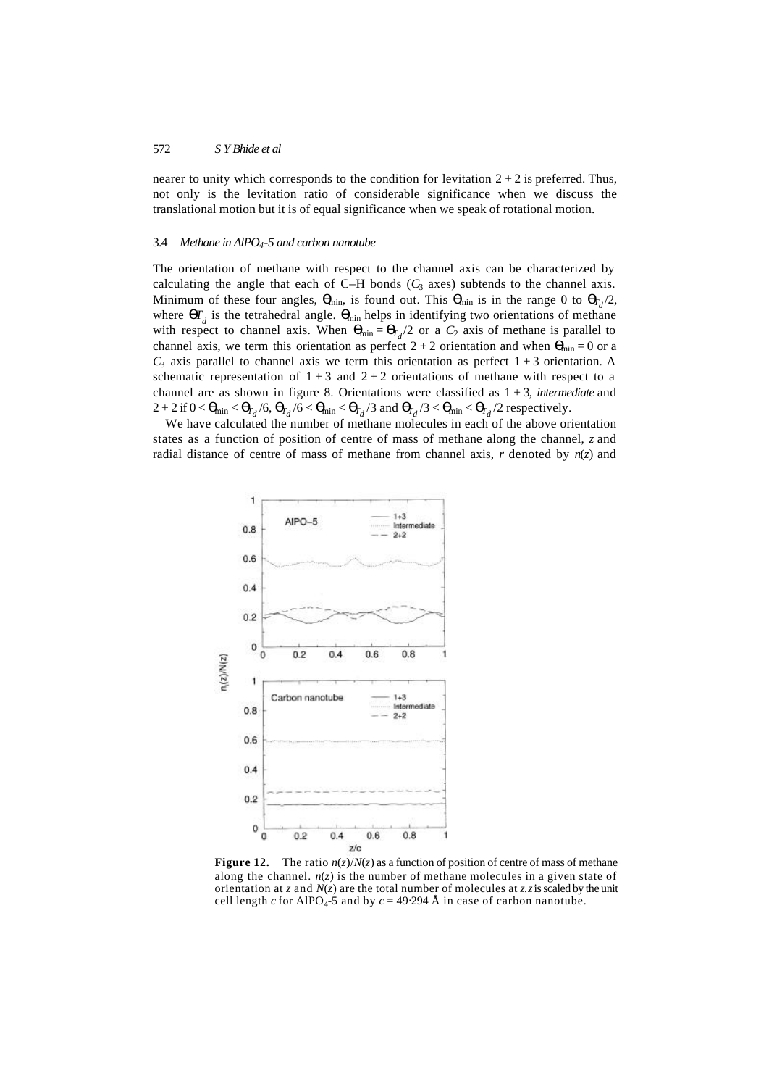nearer to unity which corresponds to the condition for levitation  $2 + 2$  is preferred. Thus, not only is the levitation ratio of considerable significance when we discuss the translational motion but it is of equal significance when we speak of rotational motion.

#### 3.4 *Methane in AlPO4-5 and carbon nanotube*

The orientation of methane with respect to the channel axis can be characterized by calculating the angle that each of  $C-H$  bonds  $(C_3$  axes) subtends to the channel axis. Minimum of these four angles,  $\boldsymbol{q}_{min}$ , is found out. This  $\boldsymbol{q}_{min}$  is in the range 0 to  $\boldsymbol{q}_{Td}/2$ , where  $\boldsymbol{q}^T_d$  is the tetrahedral angle.  $\boldsymbol{q}_{min}$  helps in identifying two orientations of methane with respect to channel axis. When  $\mathbf{q}_{\text{min}} = \mathbf{q}_{\text{r}_d}/2$  or a  $C_2$  axis of methane is parallel to channel axis, we term this orientation as perfect  $2 + 2$  orientation and when  $\mathbf{q}_{\text{min}} = 0$  or a  $C_3$  axis parallel to channel axis we term this orientation as perfect  $1+3$  orientation. A schematic representation of  $1 + 3$  and  $2 + 2$  orientations of methane with respect to a channel are as shown in figure 8. Orientations were classified as 1 + 3, *intermediate* and  $2 + 2$  if  $0 < \mathbf{q}_{\text{min}} < \mathbf{q}_{\text{r}_d}/6$ ,  $\mathbf{q}_{\text{r}_d}/6 < \mathbf{q}_{\text{min}} < \mathbf{q}_{\text{r}_d}/3$  and  $\mathbf{q}_{\text{r}_d}/3 < \mathbf{q}_{\text{min}} < \mathbf{q}_{\text{r}_d}/2$  respectively.

We have calculated the number of methane molecules in each of the above orientation states as a function of position of centre of mass of methane along the channel, *z* and radial distance of centre of mass of methane from channel axis, *r* denoted by *n*(*z*) and



**Figure 12.** The ratio  $n(z)/N(z)$  as a function of position of centre of mass of methane along the channel.  $n(z)$  is the number of methane molecules in a given state of orientation at *z* and *N*(*z*) are the total number of molecules at *z*. *z* is scaled by the unit cell length *c* for AlPO<sub>4</sub>-5 and by  $c = 49.294$  Å in case of carbon nanotube.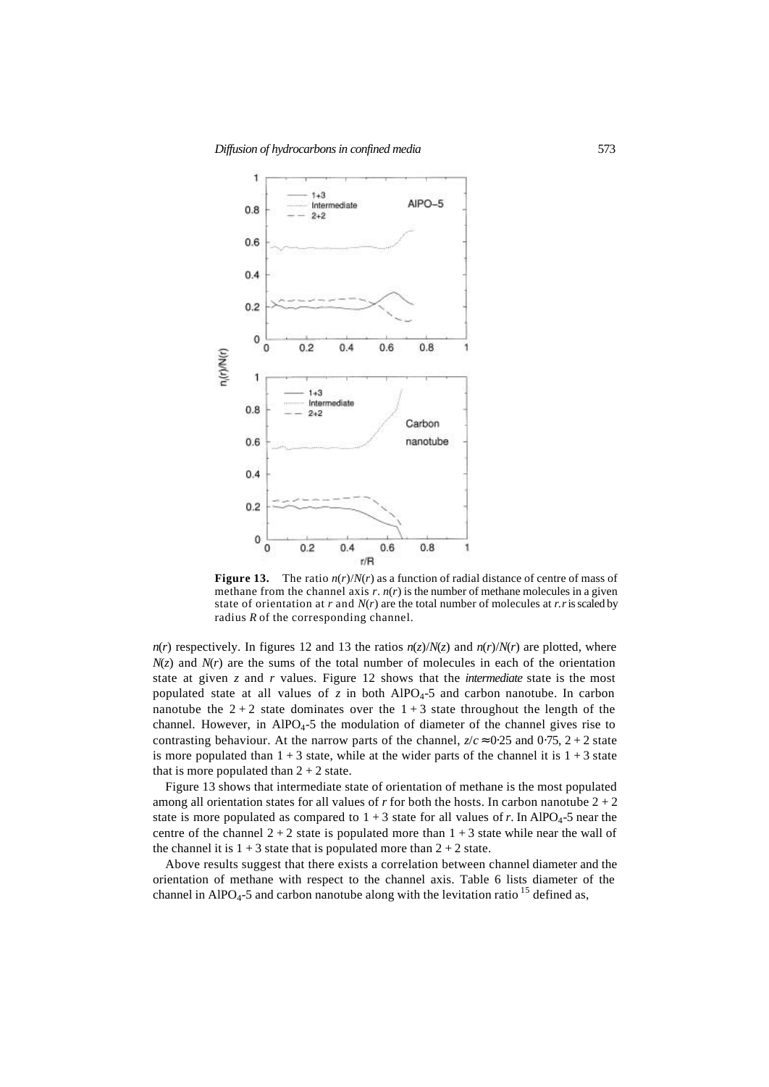

**Figure 13.** The ratio  $n(r)/N(r)$  as a function of radial distance of centre of mass of methane from the channel axis  $r$ .  $n(r)$  is the number of methane molecules in a given state of orientation at  $r$  and  $N(r)$  are the total number of molecules at  $r$ .  $r$  is scaled by radius *R* of the corresponding channel.

*n*(*r*) respectively. In figures 12 and 13 the ratios  $n(z)/N(z)$  and  $n(r)/N(r)$  are plotted, where  $N(z)$  and  $N(r)$  are the sums of the total number of molecules in each of the orientation state at given *z* and *r* values. Figure 12 shows that the *intermediate* state is the most populated state at all values of  $z$  in both AlPO<sub>4</sub>-5 and carbon nanotube. In carbon nanotube the  $2+2$  state dominates over the  $1+3$  state throughout the length of the channel. However, in AlPO<sub>4</sub>-5 the modulation of diameter of the channel gives rise to contrasting behaviour. At the narrow parts of the channel,  $z/c \approx 0.25$  and  $0.75$ ,  $2 + 2$  state is more populated than  $1 + 3$  state, while at the wider parts of the channel it is  $1 + 3$  state that is more populated than  $2 + 2$  state.

Figure 13 shows that intermediate state of orientation of methane is the most populated among all orientation states for all values of  $r$  for both the hosts. In carbon nanotube  $2 + 2$ state is more populated as compared to  $1 + 3$  state for all values of *r*. In AlPO<sub>4</sub>-5 near the centre of the channel  $2 + 2$  state is populated more than  $1 + 3$  state while near the wall of the channel it is  $1 + 3$  state that is populated more than  $2 + 2$  state.

Above results suggest that there exists a correlation between channel diameter and the orientation of methane with respect to the channel axis. Table 6 lists diameter of the channel in AlPO<sub>4</sub>-5 and carbon nanotube along with the levitation ratio  $^{15}$  defined as,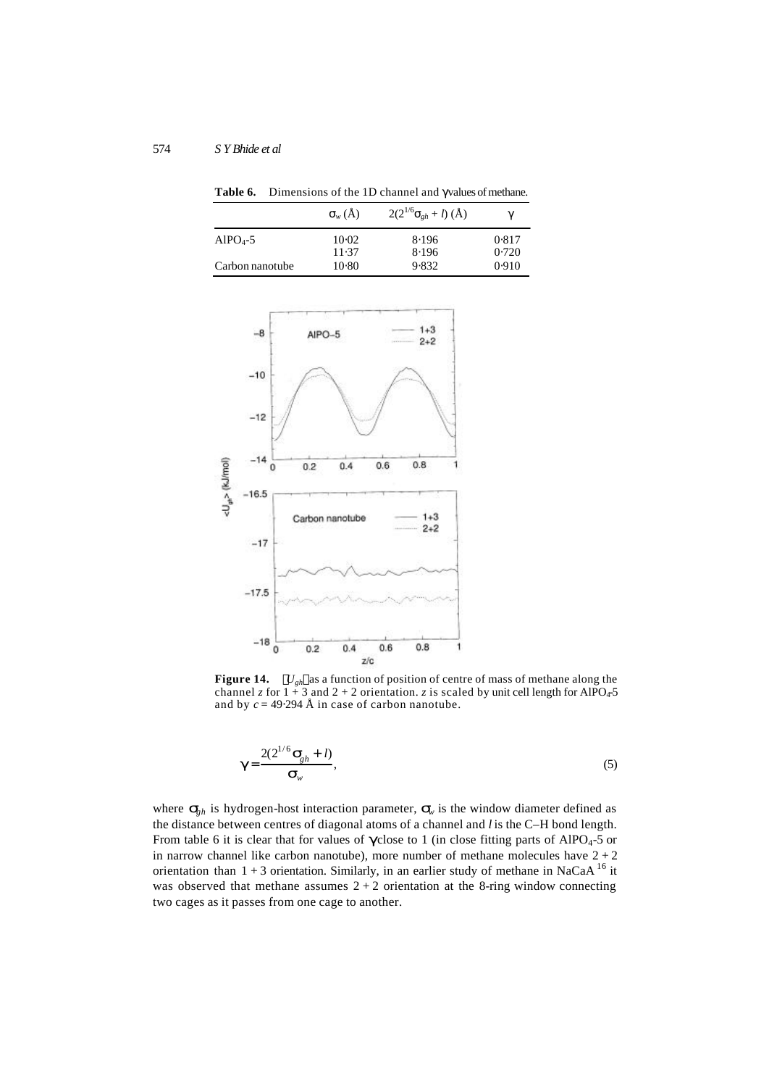|                 | $\mathbf{S}_{w}(\check{\mathbf{A}})$ | $2(2^{1/6}s_{gh}+l)(\text{\AA})$ | g              |
|-----------------|--------------------------------------|----------------------------------|----------------|
| $AlPO4-5$       | $10-02$<br>11.37                     | 8.196<br>8.196                   | 0.817<br>0.720 |
| Carbon nanotube | $10-80$                              | 9.832                            | 0.910          |

Table 6. Dimensions of the 1D channel and gvalues of methane.



**Figure 14.**  $\langle U_{gh} \rangle$  as a function of position of centre of mass of methane along the channel *z* for  $1 + 3$  and  $2 + 2$  orientation. *z* is scaled by unit cell length for AlPO<sub>4</sub>-5 and by  $c = 49.294 \text{ Å}$  in case of carbon nanotube.

$$
\mathbf{g} = \frac{2(2^{1/6} \mathbf{S}_{gh} + l)}{\mathbf{S}_{w}},
$$
 (5)

where  $\mathbf{s}_h$  is hydrogen-host interaction parameter,  $\mathbf{s}_v$  is the window diameter defined as the distance between centres of diagonal atoms of a channel and *l* is the C–H bond length. From table 6 it is clear that for values of **g** close to 1 (in close fitting parts of AlPO<sub>4</sub>-5 or in narrow channel like carbon nanotube), more number of methane molecules have  $2 + 2$ orientation than  $1 + 3$  orientation. Similarly, in an earlier study of methane in NaCaA<sup>16</sup> it was observed that methane assumes  $2 + 2$  orientation at the 8-ring window connecting two cages as it passes from one cage to another.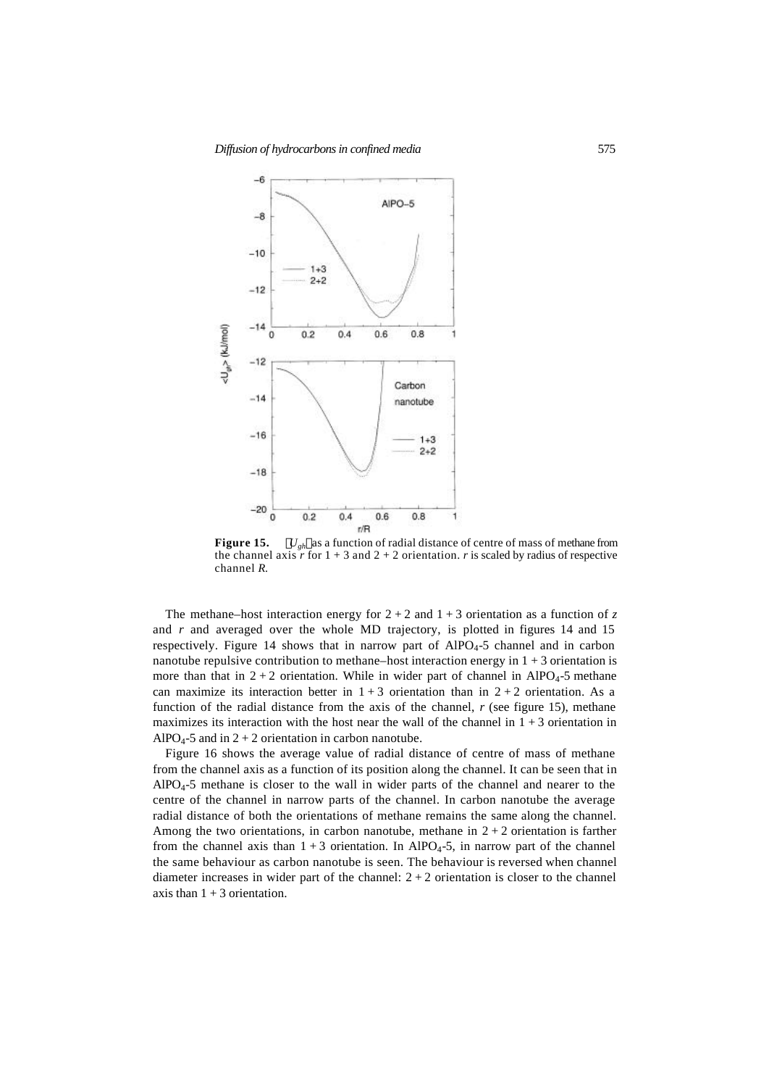

**Figure 15.**  $\langle U_{gh} \rangle$  as a function of radial distance of centre of mass of methane from the channel axis  $\overrightarrow{r}$  for  $1 + 3$  and  $2 + 2$  orientation.  $\overrightarrow{r}$  is scaled by radius of respective channel *R*.

The methane–host interaction energy for  $2 + 2$  and  $1 + 3$  orientation as a function of z and  $r$  and averaged over the whole MD trajectory, is plotted in figures 14 and 15 respectively. Figure 14 shows that in narrow part of AlPO4-5 channel and in carbon nanotube repulsive contribution to methane–host interaction energy in  $1 + 3$  orientation is more than that in  $2 + 2$  orientation. While in wider part of channel in AlPO<sub>4</sub>-5 methane can maximize its interaction better in  $1 + 3$  orientation than in  $2 + 2$  orientation. As a function of the radial distance from the axis of the channel, *r* (see figure 15), methane maximizes its interaction with the host near the wall of the channel in  $1 + 3$  orientation in AlPO<sub>4</sub>-5 and in  $2 + 2$  orientation in carbon nanotube.

Figure 16 shows the average value of radial distance of centre of mass of methane from the channel axis as a function of its position along the channel. It can be seen that in  $AlPO<sub>4</sub>-5$  methane is closer to the wall in wider parts of the channel and nearer to the centre of the channel in narrow parts of the channel. In carbon nanotube the average radial distance of both the orientations of methane remains the same along the channel. Among the two orientations, in carbon nanotube, methane in  $2 + 2$  orientation is farther from the channel axis than  $1 + 3$  orientation. In AlPO<sub>4</sub>-5, in narrow part of the channel the same behaviour as carbon nanotube is seen. The behaviour is reversed when channel diameter increases in wider part of the channel:  $2 + 2$  orientation is closer to the channel axis than  $1 + 3$  orientation.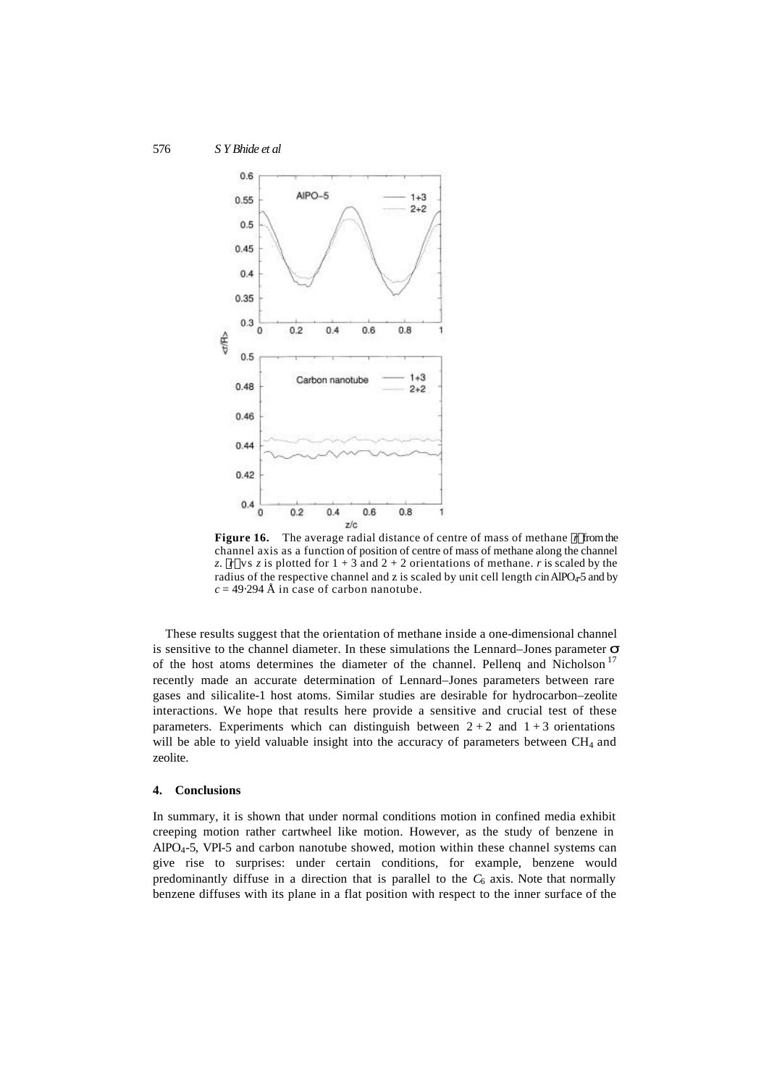

**Figure 16.** The average radial distance of centre of mass of methane  $\langle r \rangle$  from the channel axis as a function of position of centre of mass of methane along the channel *z*.  $\langle r \rangle$  vs *z* is plotted for 1 + 3 and 2 + 2 orientations of methane. *r* is scaled by the radius of the respective channel and z is scaled by unit cell length *c* in AlPO<sub>4</sub>-5 and by  $c = 49.294$  Å in case of carbon nanotube.

These results suggest that the orientation of methane inside a one-dimensional channel is sensitive to the channel diameter. In these simulations the Lennard–Jones parameter *s* of the host atoms determines the diameter of the channel. Pellenq and Nicholson<sup>17</sup> recently made an accurate determination of Lennard–Jones parameters between rare gases and silicalite-1 host atoms. Similar studies are desirable for hydrocarbon–zeolite interactions. We hope that results here provide a sensitive and crucial test of these parameters. Experiments which can distinguish between  $2 + 2$  and  $1 + 3$  orientations will be able to yield valuable insight into the accuracy of parameters between  $CH<sub>4</sub>$  and zeolite.

### **4. Conclusions**

In summary, it is shown that under normal conditions motion in confined media exhibit creeping motion rather cartwheel like motion. However, as the study of benzene in  $AlPO<sub>4</sub>-5$ , VPI-5 and carbon nanotube showed, motion within these channel systems can give rise to surprises: under certain conditions, for example, benzene would predominantly diffuse in a direction that is parallel to the  $C_6$  axis. Note that normally benzene diffuses with its plane in a flat position with respect to the inner surface of the